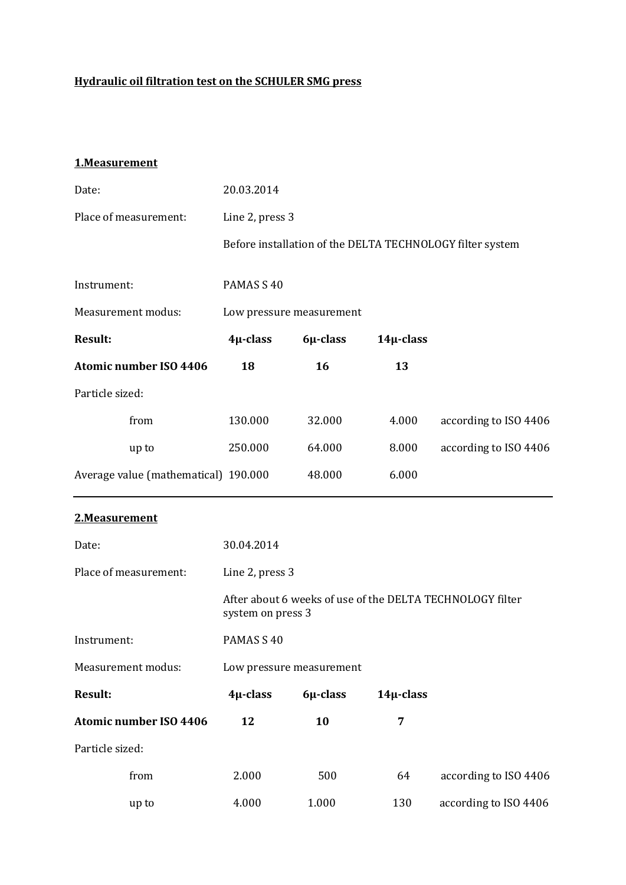### **Hydraulic oil filtration test on the SCHULER SMG press**

#### **1.Measurement**

| Date:                                | 20.03.2014               |          |                |                                                           |
|--------------------------------------|--------------------------|----------|----------------|-----------------------------------------------------------|
| Place of measurement:                | Line 2, press 3          |          |                |                                                           |
|                                      |                          |          |                | Before installation of the DELTA TECHNOLOGY filter system |
| Instrument:                          | PAMAS S 40               |          |                |                                                           |
| Measurement modus:                   | Low pressure measurement |          |                |                                                           |
| <b>Result:</b>                       | $4\mu$ -class            | 6µ-class | $14\mu$ -class |                                                           |
| <b>Atomic number ISO 4406</b>        | 18                       | 16       | 13             |                                                           |
| Particle sized:                      |                          |          |                |                                                           |
| from                                 | 130.000                  | 32.000   | 4.000          | according to ISO 4406                                     |
| up to                                | 250.000                  | 64.000   | 8.000          | according to ISO 4406                                     |
| Average value (mathematical) 190.000 |                          | 48.000   | 6.000          |                                                           |
| 2.Measurement                        |                          |          |                |                                                           |
| Date:                                | 30.04.2014               |          |                |                                                           |
| Place of measurement:                | Line 2, press 3          |          |                |                                                           |
|                                      | system on press 3        |          |                | After about 6 weeks of use of the DELTA TECHNOLOGY filter |
| Instrument:                          | PAMAS S 40               |          |                |                                                           |
| Measurement modus:                   | Low pressure measurement |          |                |                                                           |
| <b>Result:</b>                       | 4µ-class                 | 6µ-class | $14\mu$ -class |                                                           |
| <b>Atomic number ISO 4406</b>        | 12                       | 10       | 7              |                                                           |
| Particle sized:                      |                          |          |                |                                                           |
| from                                 | 2.000                    | 500      | 64             | according to ISO 4406                                     |
| up to                                | 4.000                    | 1.000    | 130            | according to ISO 4406                                     |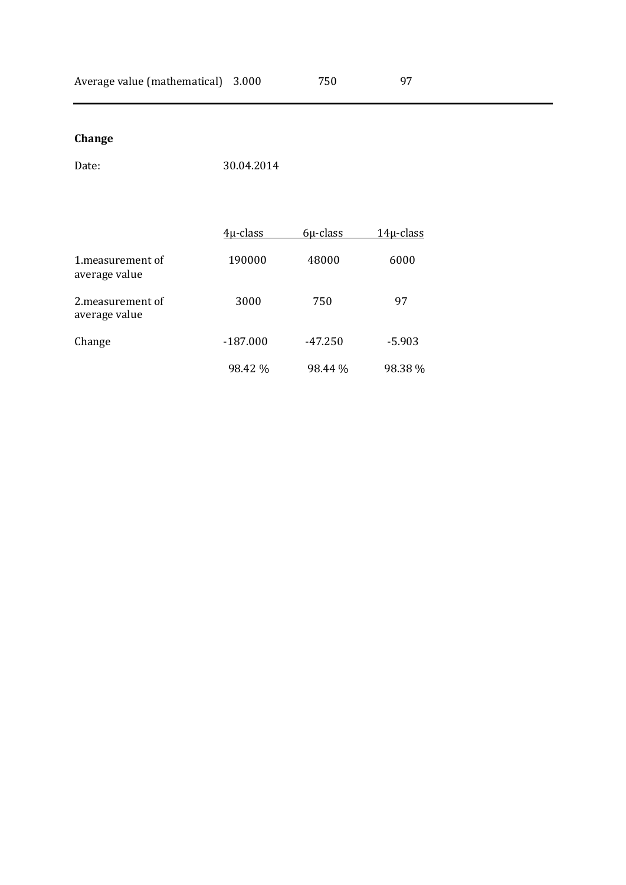### **Change**

Date: 30.04.2014

|                                    | $4\mu$ -class | $6\mu$ -class | $14\mu$ -class |
|------------------------------------|---------------|---------------|----------------|
| 1. measurement of<br>average value | 190000        | 48000         | 6000           |
| 2. measurement of<br>average value | 3000          | 750           | 97             |
| Change                             | $-187.000$    | $-47.250$     | $-5.903$       |
|                                    | 98.42 %       | 98.44 %       | 98.38 %        |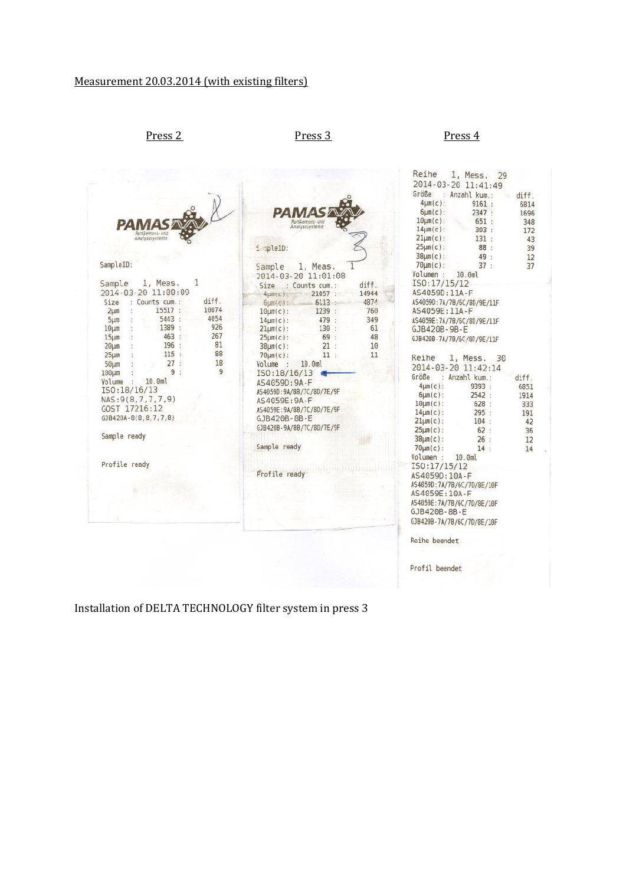Press 2 Press 3 Press 4

| Partikelmess- und<br>Partikelmess- und<br>SampleID:<br>SampleID:<br>Sample<br>2014-03-20 11:01:08<br>1<br>Sample<br>1, Meas.<br>Size<br>: Counts cum. :<br>2014-03-20 11:00:09<br>4umyc):<br>diff.<br>Size<br>: Counts cum. :<br>$6 \mu m(c)$ :<br>10074<br>15517 :<br>2 <sub>µm</sub><br>$10$ um $(c)$ :<br>4054<br>5443:<br>$5 \mu m$<br>$14 \mu m(c)$ :<br>926<br>1389 :<br>$10 \mu m$<br>$21 \mu m(c)$ :<br>463:<br>267<br>$15 \mu m$<br>$25 \mu m(c)$ :<br>81<br>196<br>20 <sub>µm</sub><br>$38 \mu m(c)$ :<br>88<br>115:<br>$25 \mu m$<br>$70 \mu m(c)$ :<br>27:<br>18<br>$50 \mu m$<br>Volume : 10.0ml<br>9<br>9:<br>100um<br>ISO: 18/16/13<br>Volume :<br>10.0ml<br>AS4059D: 9A-F<br>ISO: 18/16/13<br>AS4059D:9A/8B/7C/8D/7E/9F<br>NAS:9(8,7,7,7,9)<br>AS4059E: 9A-F<br>GOST 17216:12<br>AS4059E:9A/8B/7C/8D/7E/9F<br>GJB420A-8(8,8,7,7,8)<br>GJB420B-8B-E<br>GJB420B-9A/8B/7C/8D/7E/9F<br>Sample ready<br>Sample ready<br>Profile ready | $14 \mu m(c)$ :<br>303:<br>172<br>$21 \mu m(c)$ :<br>131:<br>43<br>$25 \mu m(c)$ :<br>88 :<br>39<br>$38 \mu m(c)$ :<br>49:<br>12<br>$70 \mu m(c)$ :<br>37:<br>37<br>1, Meas.<br>Volumen :<br>10.0ml<br>ISO: 17/15/12<br>diff.<br>AS4059D:11A-F<br>14944<br>21057:<br>4874<br>AS4059D:7A/7B/6C/8D/9E/11F<br>6113:<br>760<br>AS4059E:11A-F<br>1239 :<br>349<br>479 :<br>AS4059E: 7A/7B/6C/8D/9E/11F<br>61<br>130<br>b<br>GJB420B-9B-E<br>69 :<br>48<br>GJB420B-7A/7B/6C/8D/9E/11F<br>21:<br>10<br>11:<br>11<br>Reihe<br>1, Mess. 30<br>2014-03-20 11:42:14<br>Größe<br>: Anzahl kum.:<br>diff.<br>$4 \mu m(c)$ :<br>9393:<br>6851<br>2542:<br>$6\mu m(c)$ :<br>1914<br>$10 \mu m(c)$ :<br>628:<br>333<br>$14 \mu m(c)$ :<br>295:<br>191<br>$21 \mu m(c)$ :<br>104:<br>42<br>$25 \mu m(c)$ :<br>62:<br>36<br>$38µm(c)$ :<br>26:<br>12<br>$70 \mu m(c)$ :<br>14:<br>14<br>Volumen :<br>10.0 <sub>m</sub><br>ISO: 17/15/12<br>Profile ready and companion and companion<br>AS4059D:10A-F<br>AS4059D:7A/7B/6C/7D/8E/10F<br>AS4059E: 10A-F<br>AS4059E: 7A/7B/6C/7D/8E/10F<br>GJB420B-8B-E |
|--------------------------------------------------------------------------------------------------------------------------------------------------------------------------------------------------------------------------------------------------------------------------------------------------------------------------------------------------------------------------------------------------------------------------------------------------------------------------------------------------------------------------------------------------------------------------------------------------------------------------------------------------------------------------------------------------------------------------------------------------------------------------------------------------------------------------------------------------------------------------------------------------------------------------------------------------|------------------------------------------------------------------------------------------------------------------------------------------------------------------------------------------------------------------------------------------------------------------------------------------------------------------------------------------------------------------------------------------------------------------------------------------------------------------------------------------------------------------------------------------------------------------------------------------------------------------------------------------------------------------------------------------------------------------------------------------------------------------------------------------------------------------------------------------------------------------------------------------------------------------------------------------------------------------------------------------------------------------------------------------------------------------------------------|
|                                                                                                                                                                                                                                                                                                                                                                                                                                                                                                                                                                                                                                                                                                                                                                                                                                                                                                                                                  | GJB420B-7A/7B/6C/7D/8E/10F                                                                                                                                                                                                                                                                                                                                                                                                                                                                                                                                                                                                                                                                                                                                                                                                                                                                                                                                                                                                                                                         |
|                                                                                                                                                                                                                                                                                                                                                                                                                                                                                                                                                                                                                                                                                                                                                                                                                                                                                                                                                  | Reihe beendet                                                                                                                                                                                                                                                                                                                                                                                                                                                                                                                                                                                                                                                                                                                                                                                                                                                                                                                                                                                                                                                                      |
|                                                                                                                                                                                                                                                                                                                                                                                                                                                                                                                                                                                                                                                                                                                                                                                                                                                                                                                                                  | Profil beendet                                                                                                                                                                                                                                                                                                                                                                                                                                                                                                                                                                                                                                                                                                                                                                                                                                                                                                                                                                                                                                                                     |

Installation of DELTA TECHNOLOGY filter system in press 3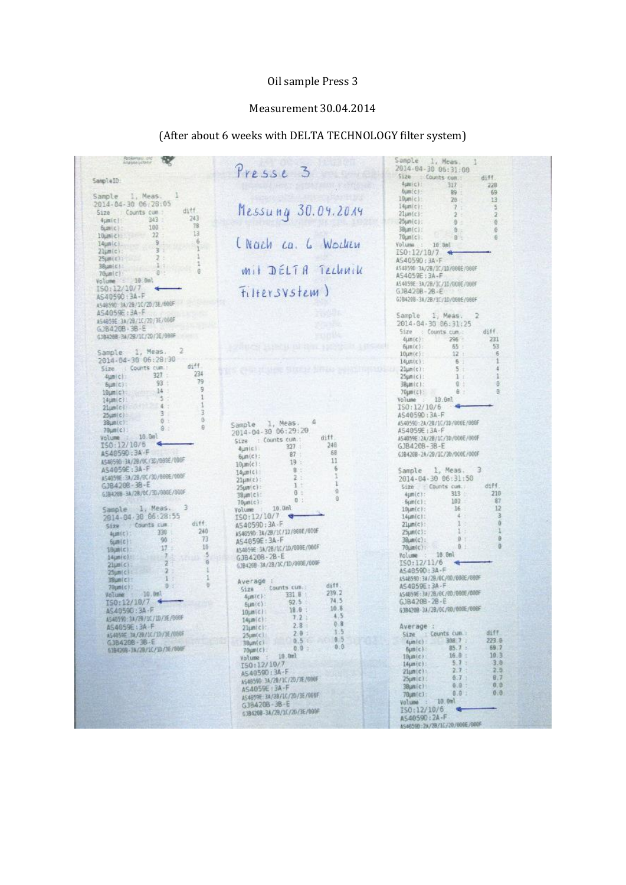### Oil sample Press 3

#### Measurement 30.04.2014

## (After about 6 weeks with DELTA TECHNOLOGY filter system)

| <b>Residence one</b>                   |                                                  | Sample 1, Meas.                                  |
|----------------------------------------|--------------------------------------------------|--------------------------------------------------|
|                                        | Presse 3                                         | 2014-04-30 06:31:00                              |
| SampleID:                              |                                                  | Size : Counts cum.<br>diff.                      |
|                                        |                                                  | Hamic)<br>$317 -$<br>228                         |
| Sample 1, Meas.                        |                                                  | <b><i><u>bunter</u></i></b><br>89 :<br>69        |
| 2014-04-30 06:28:05                    |                                                  | 10um(c)<br>13<br>28                              |
| diff<br>Size Counts cum                | Messung 30.04.2014                               | l4um(c):<br>E<br>7.7<br>Zlim(c):<br>$2 -$        |
| $-243$<br>343<br>$4$ $ n $ c $ n $     |                                                  | $25 \mu n(c)$ :<br>$8 -$<br>$\theta$             |
| 78<br>100<br>Bumic):                   |                                                  | 38jm(c):<br>0.1<br>ē.                            |
| 13<br>22 <sup>o</sup><br>10umici       |                                                  | $70 \mu n(c)$<br>0<<br>0                         |
| i6<br>$-9$<br>$I4µn(c)$ .              | (Nach ca. 6 Wochen                               | Volume : 10.5ml                                  |
| $\mathcal{L}$<br>3:<br>$23 \mu m(c)$ : |                                                  | $IS0:12/10/7$ +                                  |
| 2:<br>$25 \mu m(t)$ :                  |                                                  | AS40590:3A-F                                     |
| $-11.1$<br>38um(c):                    | <i><b>Mit DELTA TELLINILL</b></i>                | AS4859D:3A/2B/1C/1D/880E/880F                    |
| $\theta$<br>通り<br>70                   |                                                  | AS4059E:3A-F                                     |
| Volume : 10.0ml                        |                                                  | A54059E: 3A/2B/1C/1D/000E/000F                   |
| ISO:12/10/7                            | Filtersystem)                                    | $GJB420B - 2B - E$                               |
| AS40590:3A-F                           |                                                  | GJB4208-3A/2B/1C/1D/060E/000F                    |
| A548590 3A/2B/1C/2D/3E/RROF            |                                                  |                                                  |
| AS4059E: 3A-F                          |                                                  | Sample 1, Meas.<br>$\overline{2}$                |
| AS4859E : 3A/29/10/20/3E/000F          |                                                  | 2014-04-35 06:31:25                              |
| GJB4208+3B-E                           |                                                  | Size : Counts.cum.<br>diff.                      |
| GJB4268-3A/28/10/20/3E/088F            |                                                  | 296<br>231<br>$4\mu\pi(c)$ :                     |
|                                        |                                                  | 53<br>bun(c):<br>65                              |
| 12<br>Sample 1, Meas.                  |                                                  | 6<br>$10 \mu m(c)$<br>$12 +$                     |
| 2014-04-30 06:28:30                    |                                                  | 6<br>14um(c):                                    |
| diff.<br>Size : Counts cum.:           | <b>Francisco</b> , US<br>선생님께서 참석 경기에서           | ä.<br>Zlum(c):<br>$5 -$                          |
| 234<br>4um(c): 327 :                   |                                                  | $25 \mu m(c)$ :<br>1 <sup>1</sup>                |
| 79<br>93<br>6um(c):                    |                                                  | a<br>$8 +$<br>3BLBm(C):                          |
| 9<br>10um(c) 14                        |                                                  | ö<br>7Gum (c)<br>6                               |
| 1<br>5.5<br>14um(c):                   |                                                  | Volume 10.0ml                                    |
| 1<br>$-4.1$<br>21umlci                 |                                                  | ISO: 12/10/6                                     |
| 3<br>$3 -$<br>$25 \text{cm}$ (c)       |                                                  | AS40590:3A-F                                     |
| <sup>0</sup><br>0 :<br>38 mlc):        | 4<br>Sample 1, Meas.                             | AS4059D:2A/2B/1C/3D/000E/000F                    |
| 自<br>0<br>70um (c)                     | 2014-04-30 06:29:20                              | AS4059E: 3A-F                                    |
| Volume : 16.0ml                        | diff.<br>Size : Counts cum.:                     | AS4859E:2A/2B/1C/3D/R60E/000F                    |
| 150:12/10/6                            | 246<br>327                                       | GJB420B-3B-E                                     |
| AS40590 : 3A - F                       | <b>Auntein</b><br>68<br>87                       | G3B428B-2A/29/1C/30/000E/000F                    |
| AS46590 3A/28/9C/3D/090E/080F          | Gum(c):<br>11<br>19:                             |                                                  |
| AS4059E:3A-F                           | $10 \mu m(c)$ :<br>6<br>- 8:1                    | Sample 1, Meas. 3                                |
| AS4059E:3A/2B/9C/30/000E/000F          | $14$ <sub>k</sub> $m(c)$<br>2:                   | 2014-04-30 06:31:58                              |
| GJB4208-38-E                           | $2Iiim(c)$ :<br>1<br>$1$ $+$                     | Size Counts cum.<br>diff.                        |
| GJB426B-3A/2B/0C/3D/00GE/00GF          | $25$ um $(c)$ :<br>$\theta$<br>$B =$<br>38µm(c): | $313 -$<br>210<br>4um(c):                        |
|                                        | a<br>8 1<br>$70 \mu m(c)$                        | 87<br>103<br>$-6\mu$ m $(c)$ :                   |
| з<br>Sample 1, Meas.                   | Volume 10.0ml                                    | 12<br>16<br>$10 \mu n(c)$ :                      |
| 2014-04-30 06:28:55                    | 150:12/10/7                                      | 4.1<br>з<br>$14 \mu m$ $c1$ :                    |
| diff.<br>Size : Counts cum :           | AS4059D:3A-F                                     | $21 \mu m(c)$                                    |
| 240<br>$4\mu m(t)$ : 338               | AS40590: 3A/2B/1C/10/800E/000F                   | $25 \mu m$ (c):                                  |
| 73<br>90<br>$Sum(c)$ :                 | AS4059E: 3A-F                                    | 0<br>$38$ um $(c)$ :                             |
| 10<br>$-17.5$<br>19山前(で):              | AS4859E: 3A/2B/1C/10/008E/000F                   | 0<br>0.1<br>70um(c):                             |
| 3<br>14µm(c): 7                        | GJB420B-2B-E                                     | Volume :<br>10.0ml                               |
| 21um(c)                                | GJB4208-3A/2B/1C/1D/008E/000F                    | ISO: 12/11/6                                     |
| $2 -$<br>25um(c):                      |                                                  | AS40590:3A-F                                     |
| 小:<br>38um(c):                         | Average :                                        | AS48590:3A/2B/8C/8B/B08E/880F                    |
| Ð<br>0<br>70unic):                     | diff.<br>Counts cum<br>5128                      | AS4059E: 3A-F                                    |
| Volume 10.0ml                          | 239.2<br>331.6<br>4um(c):                        | AS4859E: 3A/2B/0C/00/000E/000F                   |
| 150:12/10/7                            | 74.5<br>92.5<br>film(c):                         | GJB4208-2B-E                                     |
| AS40590 : 3A-F                         | 10.8<br>18.0<br>$10 \mu n(c)$                    | G18420B 3A/2B/0C/00/000E/000F                    |
| AS40590:3A/29/10/J10/3E/000F           | 4.5<br>7.2<br>$14 \mu m(c)$ :                    |                                                  |
| A54059E:3A-F                           | 0.8<br>2.8<br>$21$ umici:                        | Average :                                        |
| A54059E 34/20/10/10/3E/080F            | 1.5.<br>$2.8 \pm$<br>$25 \mu m(c)$               | diff.<br>Size Counts cum.                        |
| $GJB420B - B - E$                      | 9.5<br>0.5<br>3Bum(c)                            | 4um(c): 308.7 :<br>223.8                         |
| 6384268-3A/2B/1C/10/3E/000F            | 0:0<br>0.9:<br>$70 \mu m(c)$                     | 85.7:<br>69.7<br>$f_{\text{L}}(m c)$             |
|                                        | Volume : 10.0ml                                  | 10.3<br>16.8:<br>10 ди(с):                       |
|                                        | ISO:12/10/7                                      | 3.0<br>5.7:<br>14um(c):                          |
|                                        | AS40590:3A-F                                     | 2.8<br>2.7:<br>$21$ um $ c $                     |
|                                        | AS48590 3A/20/10/20/3E/600F                      | 0.7<br>8.7<br>$25 \mu$ m $\left[\text{c}\right]$ |
|                                        | AS4059E 3A-F                                     | 0, 0<br>$0.0$ :<br>$38 \mu n(c)$                 |
|                                        | A54859E 3A/28/1C/20/3E/000F                      | (0, 0)<br>0.01<br>7Gum(c);                       |
|                                        |                                                  |                                                  |
|                                        |                                                  | Volume : 10.0ml                                  |
|                                        | GJB420B-3B-E                                     | ISO:12/10/6                                      |
|                                        | GJB4208-3A/29/1C/20/3E/090F                      | AS4059D:2A-F<br>AS46590:2A/2B/1(/20/600E/000F    |